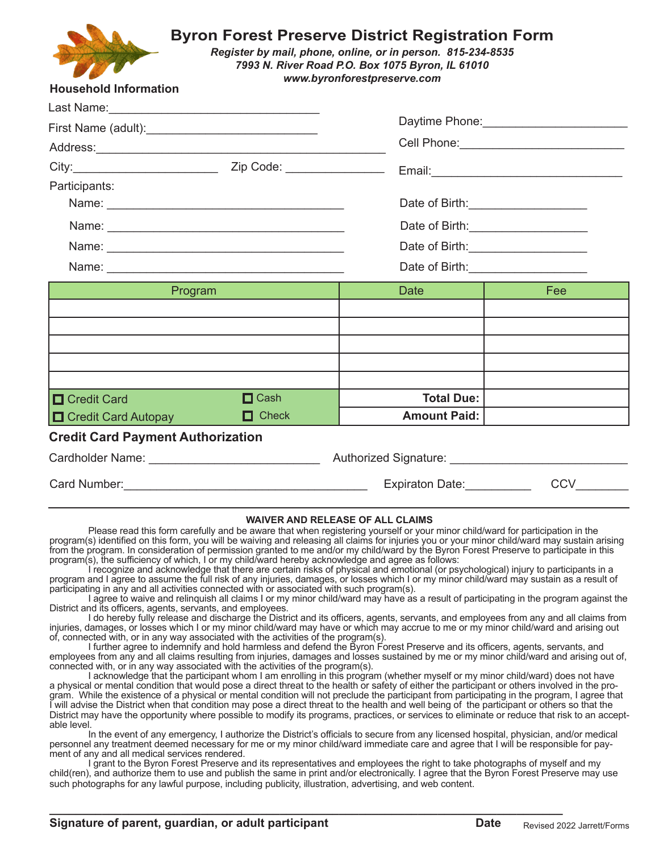

## **Byron Forest Preserve District Registration Form**

*Register by mail, phone, online, or in person. 815-234-8535 7993 N. River Road P.O. Box 1075 Byron, IL 61010 www.byronforestpreserve.com*

## **Household Information**

| Last Name:___________________________________                                                                  |              |                                                                                                                                                           |                                                                                    |         |  |             |     |
|----------------------------------------------------------------------------------------------------------------|--------------|-----------------------------------------------------------------------------------------------------------------------------------------------------------|------------------------------------------------------------------------------------|---------|--|-------------|-----|
| First Name (adult):_____________________________                                                               |              |                                                                                                                                                           | Daytime Phone: _______________________<br>Cell Phone: ____________________________ |         |  |             |     |
|                                                                                                                |              |                                                                                                                                                           |                                                                                    |         |  |             |     |
|                                                                                                                |              |                                                                                                                                                           |                                                                                    |         |  |             |     |
| Participants:                                                                                                  |              |                                                                                                                                                           |                                                                                    |         |  |             |     |
|                                                                                                                |              | Date of Birth: _______________________<br>Date of Birth: <u>contained</u><br>Date of Birth: _____________________<br>Date of Birth: _____________________ |                                                                                    |         |  |             |     |
|                                                                                                                |              |                                                                                                                                                           |                                                                                    | Program |  | <b>Date</b> | Fee |
|                                                                                                                |              |                                                                                                                                                           |                                                                                    |         |  |             |     |
|                                                                                                                |              |                                                                                                                                                           |                                                                                    |         |  |             |     |
|                                                                                                                |              |                                                                                                                                                           |                                                                                    |         |  |             |     |
|                                                                                                                |              |                                                                                                                                                           |                                                                                    |         |  |             |     |
| <b>O</b> Credit Card                                                                                           | $\Box$ Cash  | <b>Total Due:</b>                                                                                                                                         |                                                                                    |         |  |             |     |
| <b>On Credit Card Autopay</b>                                                                                  | $\Box$ Check | <b>Amount Paid:</b>                                                                                                                                       |                                                                                    |         |  |             |     |
| <b>Credit Card Payment Authorization</b>                                                                       |              |                                                                                                                                                           |                                                                                    |         |  |             |     |
| Cardholder Name: Van American American American American American American American American American American |              | Authorized Signature: 1997                                                                                                                                |                                                                                    |         |  |             |     |
|                                                                                                                |              | Expiraton Date:                                                                                                                                           | CCV                                                                                |         |  |             |     |
|                                                                                                                |              |                                                                                                                                                           |                                                                                    |         |  |             |     |

## **WAIVER AND RELEASE OF ALL CLAIMS**

Please read this form carefully and be aware that when registering yourself or your minor child/ward for participation in the program(s) identified on this form, you will be waiving and releasing all claims for injuries you or your minor child/ward may sustain arising from the program. In consideration of permission granted to me and/or my child/ward by the Byron Forest Preserve to participate in this program(s), the sufficiency of which, I or my child/ward hereby acknowledge and agree as follows:

I recognize and acknowledge that there are certain risks of physical and emotional (or psychological) injury to participants in a program and I agree to assume the full risk of any injuries, damages, or losses which I or my minor child/ward may sustain as a result of participating in any and all activities connected with or associated with such program(s).

I agree to waive and relinquish all claims I or my minor child/ward may have as a result of participating in the program against the District and its officers, agents, servants, and employees.

I do hereby fully release and discharge the District and its officers, agents, servants, and employees from any and all claims from injuries, damages, or losses which I or my minor child/ward may have or which may accrue to me or my minor child/ward and arising out of, connected with, or in any way associated with the activities of the program(s).

I further agree to indemnify and hold harmless and defend the Byron Forest Preserve and its officers, agents, servants, and employees from any and all claims resulting from injuries, damages and losses sustained by me or my minor child/ward and arising out of, connected with, or in any way associated with the activities of the program(s).

I acknowledge that the participant whom I am enrolling in this program (whether myself or my minor child/ward) does not have a physical or mental condition that would pose a direct threat to the health or safety of either the participant or others involved in the program. While the existence of a physical or mental condition will not preclude the participant from participating in the program, I agree that I will advise the District when that condition may pose a direct threat to the health and well being of the participant or others so that the District may have the opportunity where possible to modify its programs, practices, or services to eliminate or reduce that risk to an acceptable level.

In the event of any emergency, I authorize the District's officials to secure from any licensed hospital, physician, and/or medical personnel any treatment deemed necessary for me or my minor child/ward immediate care and agree that I will be responsible for payment of any and all medical services rendered.

I grant to the Byron Forest Preserve and its representatives and employees the right to take photographs of myself and my child(ren), and authorize them to use and publish the same in print and/or electronically. I agree that the Byron Forest Preserve may use such photographs for any lawful purpose, including publicity, illustration, advertising, and web content.

**\_\_\_\_\_\_\_\_\_\_\_\_\_\_\_\_\_\_\_\_\_\_\_\_\_\_\_\_\_\_\_\_\_\_\_\_\_\_\_\_\_\_\_\_\_\_\_\_\_\_\_\_\_\_\_\_\_\_\_\_\_\_\_\_\_\_\_\_\_\_\_\_\_\_\_\_\_\_**